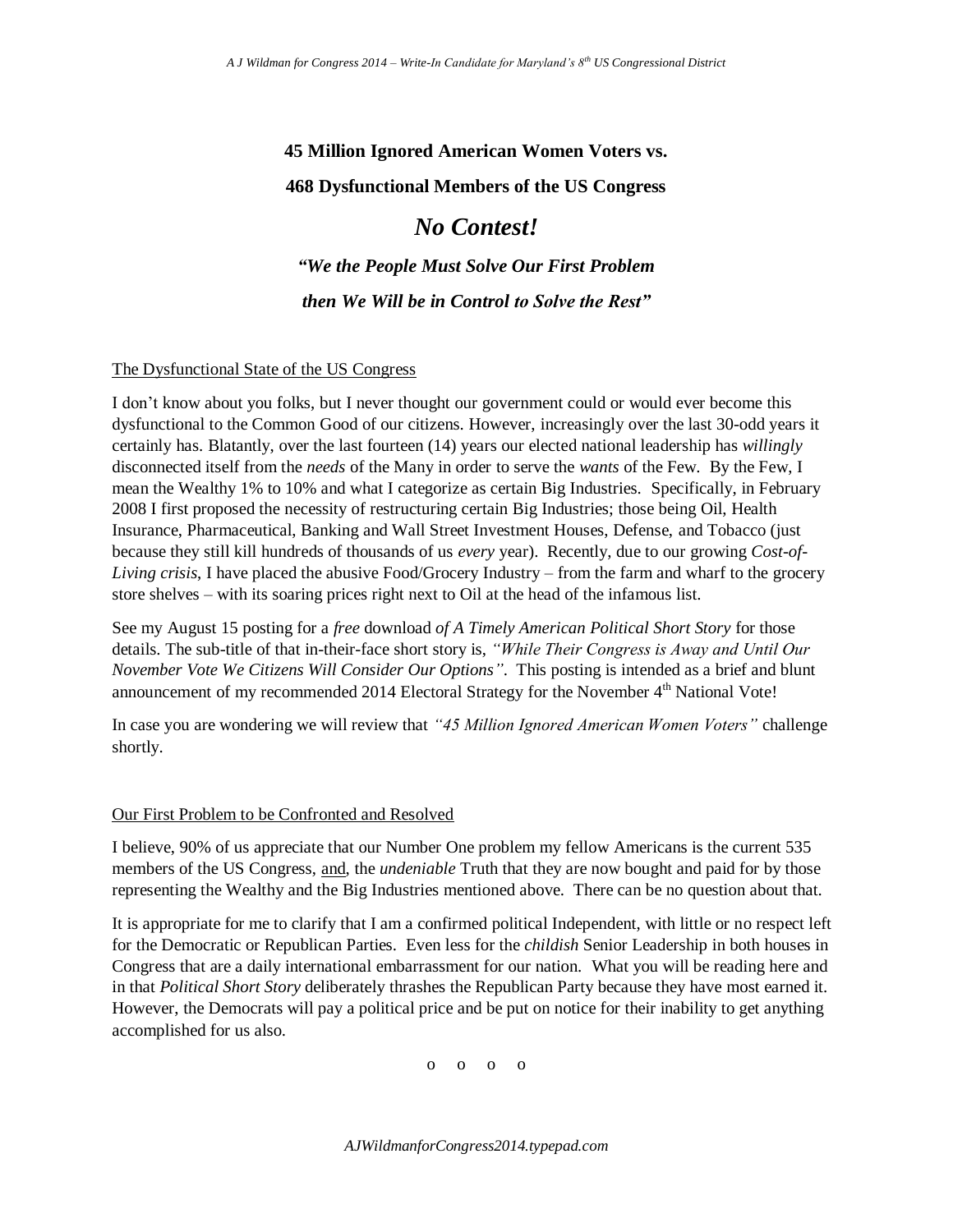# **45 Million Ignored American Women Voters vs. 468 Dysfunctional Members of the US Congress**

# *No Contest!*

*"We the People Must Solve Our First Problem then We Will be in Control to Solve the Rest"*

#### The Dysfunctional State of the US Congress

I don't know about you folks, but I never thought our government could or would ever become this dysfunctional to the Common Good of our citizens. However, increasingly over the last 30-odd years it certainly has. Blatantly, over the last fourteen (14) years our elected national leadership has *willingly* disconnected itself from the *needs* of the Many in order to serve the *wants* of the Few. By the Few, I mean the Wealthy 1% to 10% and what I categorize as certain Big Industries. Specifically, in February 2008 I first proposed the necessity of restructuring certain Big Industries; those being Oil, Health Insurance, Pharmaceutical, Banking and Wall Street Investment Houses, Defense, and Tobacco (just because they still kill hundreds of thousands of us *every* year). Recently, due to our growing *Cost-of-Living crisis*, I have placed the abusive Food/Grocery Industry – from the farm and wharf to the grocery store shelves – with its soaring prices right next to Oil at the head of the infamous list.

See my August 15 posting for a *free* download *of A Timely American Political Short Story* for those details. The sub-title of that in-their-face short story is, *"While Their Congress is Away and Until Our November Vote We Citizens Will Consider Our Options"*. This posting is intended as a brief and blunt announcement of my recommended 2014 Electoral Strategy for the November 4<sup>th</sup> National Vote!

In case you are wondering we will review that *"45 Million Ignored American Women Voters"* challenge shortly.

#### Our First Problem to be Confronted and Resolved

I believe, 90% of us appreciate that our Number One problem my fellow Americans is the current 535 members of the US Congress, and, the *undeniable* Truth that they are now bought and paid for by those representing the Wealthy and the Big Industries mentioned above. There can be no question about that.

It is appropriate for me to clarify that I am a confirmed political Independent, with little or no respect left for the Democratic or Republican Parties. Even less for the *childish* Senior Leadership in both houses in Congress that are a daily international embarrassment for our nation. What you will be reading here and in that *Political Short Story* deliberately thrashes the Republican Party because they have most earned it. However, the Democrats will pay a political price and be put on notice for their inability to get anything accomplished for us also.

o o o o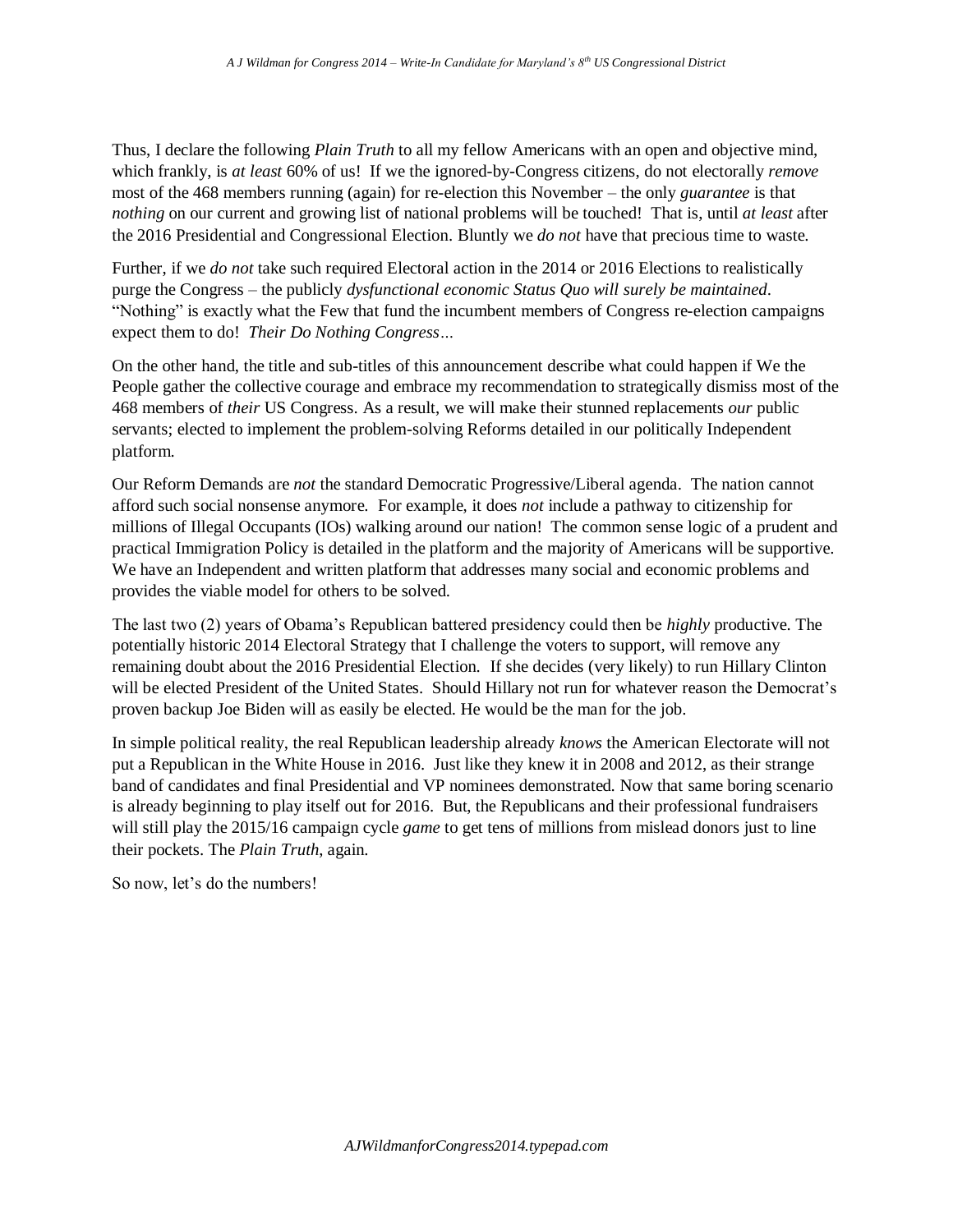Thus, I declare the following *Plain Truth* to all my fellow Americans with an open and objective mind, which frankly, is *at least* 60% of us! If we the ignored-by-Congress citizens, do not electorally *remove* most of the 468 members running (again) for re-election this November – the only *guarantee* is that *nothing* on our current and growing list of national problems will be touched! That is, until *at least* after the 2016 Presidential and Congressional Election. Bluntly we *do not* have that precious time to waste.

Further, if we *do not* take such required Electoral action in the 2014 or 2016 Elections to realistically purge the Congress – the publicly *dysfunctional economic Status Quo will surely be maintained*. "Nothing" is exactly what the Few that fund the incumbent members of Congress re-election campaigns expect them to do! *Their Do Nothing Congress…*

On the other hand, the title and sub-titles of this announcement describe what could happen if We the People gather the collective courage and embrace my recommendation to strategically dismiss most of the 468 members of *their* US Congress. As a result, we will make their stunned replacements *our* public servants; elected to implement the problem-solving Reforms detailed in our politically Independent platform.

Our Reform Demands are *not* the standard Democratic Progressive/Liberal agenda. The nation cannot afford such social nonsense anymore. For example, it does *not* include a pathway to citizenship for millions of Illegal Occupants (IOs) walking around our nation! The common sense logic of a prudent and practical Immigration Policy is detailed in the platform and the majority of Americans will be supportive. We have an Independent and written platform that addresses many social and economic problems and provides the viable model for others to be solved.

The last two (2) years of Obama's Republican battered presidency could then be *highly* productive. The potentially historic 2014 Electoral Strategy that I challenge the voters to support, will remove any remaining doubt about the 2016 Presidential Election. If she decides (very likely) to run Hillary Clinton will be elected President of the United States. Should Hillary not run for whatever reason the Democrat's proven backup Joe Biden will as easily be elected. He would be the man for the job.

In simple political reality, the real Republican leadership already *knows* the American Electorate will not put a Republican in the White House in 2016. Just like they knew it in 2008 and 2012, as their strange band of candidates and final Presidential and VP nominees demonstrated. Now that same boring scenario is already beginning to play itself out for 2016. But, the Republicans and their professional fundraisers will still play the 2015/16 campaign cycle *game* to get tens of millions from mislead donors just to line their pockets. The *Plain Truth*, again.

So now, let's do the numbers!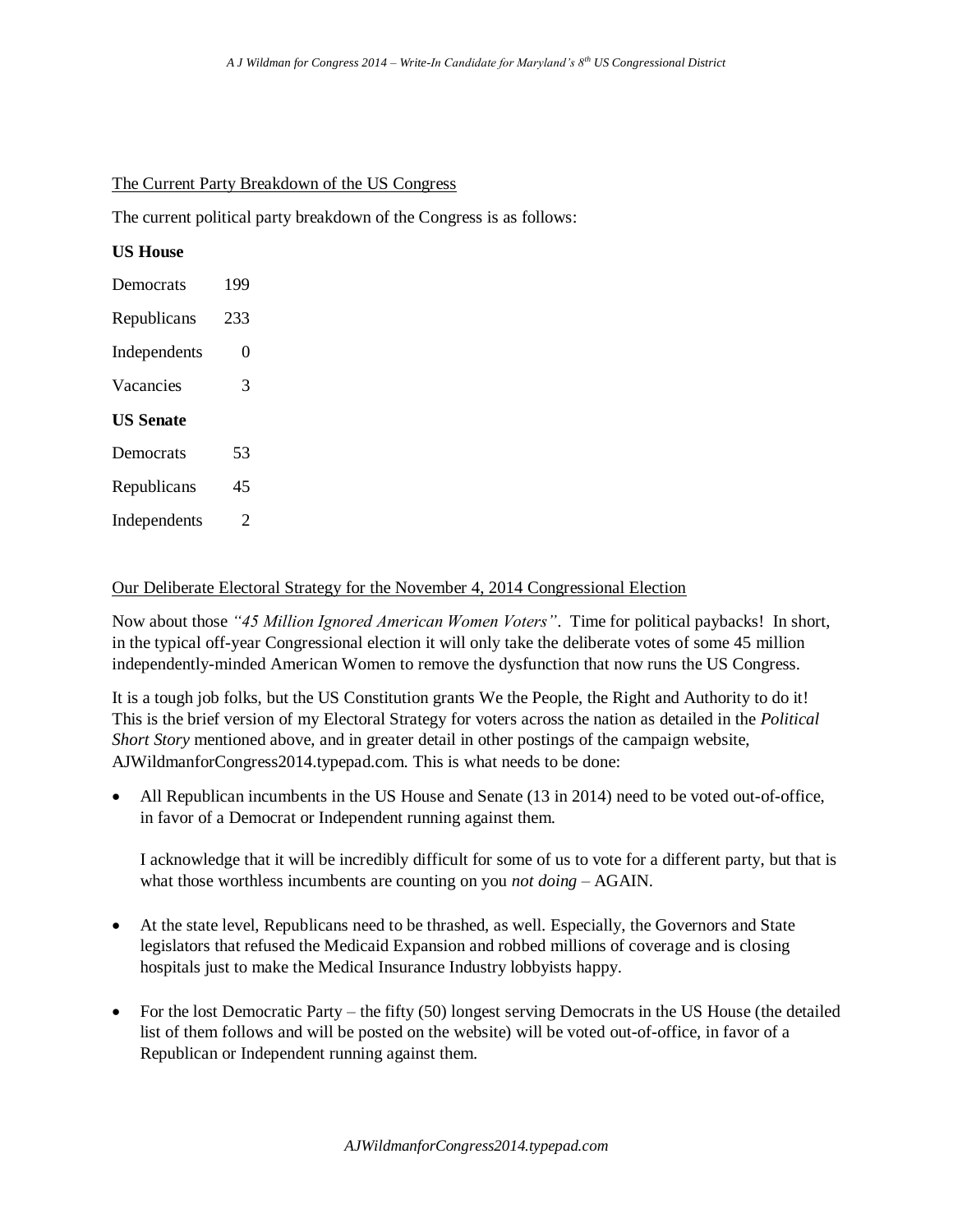#### The Current Party Breakdown of the US Congress

The current political party breakdown of the Congress is as follows:

## **US House**

| Democrats        | 199 |  |
|------------------|-----|--|
| Republicans      | 233 |  |
| Independents     | 0   |  |
| Vacancies        | 3   |  |
| <b>US Senate</b> |     |  |
| Democrats        | 53  |  |
| Republicans      | 45  |  |
| Independents     | 2   |  |
|                  |     |  |

### Our Deliberate Electoral Strategy for the November 4, 2014 Congressional Election

Now about those *"45 Million Ignored American Women Voters"*. Time for political paybacks! In short, in the typical off-year Congressional election it will only take the deliberate votes of some 45 million independently-minded American Women to remove the dysfunction that now runs the US Congress.

It is a tough job folks, but the US Constitution grants We the People, the Right and Authority to do it! This is the brief version of my Electoral Strategy for voters across the nation as detailed in the *Political Short Story* mentioned above, and in greater detail in other postings of the campaign website, AJWildmanforCongress2014.typepad.com. This is what needs to be done:

 All Republican incumbents in the US House and Senate (13 in 2014) need to be voted out-of-office, in favor of a Democrat or Independent running against them.

I acknowledge that it will be incredibly difficult for some of us to vote for a different party, but that is what those worthless incumbents are counting on you *not doing* – AGAIN.

- At the state level, Republicans need to be thrashed, as well. Especially, the Governors and State legislators that refused the Medicaid Expansion and robbed millions of coverage and is closing hospitals just to make the Medical Insurance Industry lobbyists happy.
- For the lost Democratic Party the fifty (50) longest serving Democrats in the US House (the detailed list of them follows and will be posted on the website) will be voted out-of-office, in favor of a Republican or Independent running against them.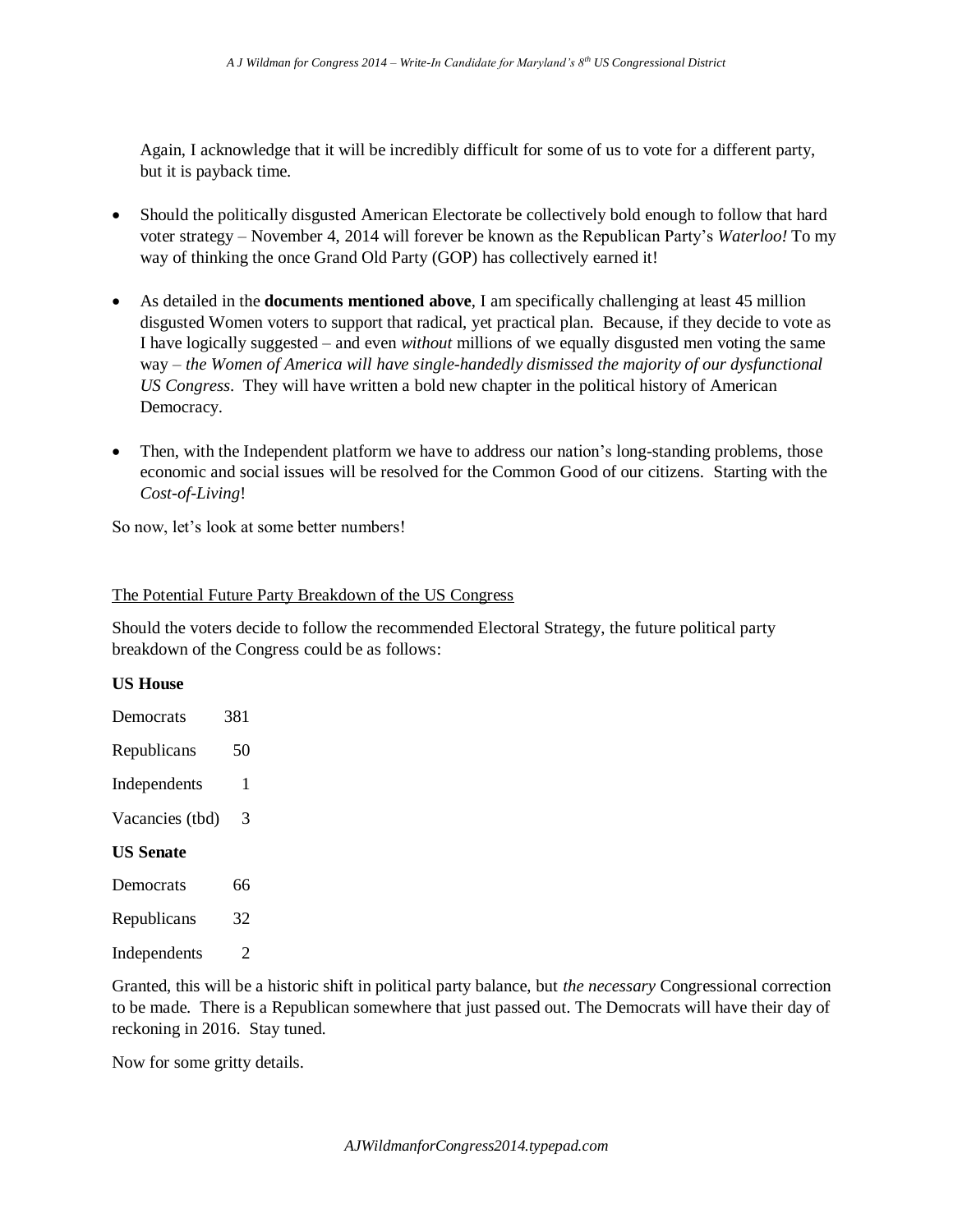Again, I acknowledge that it will be incredibly difficult for some of us to vote for a different party, but it is payback time.

- Should the politically disgusted American Electorate be collectively bold enough to follow that hard voter strategy – November 4, 2014 will forever be known as the Republican Party's *Waterloo!* To my way of thinking the once Grand Old Party (GOP) has collectively earned it!
- As detailed in the **documents mentioned above**, I am specifically challenging at least 45 million disgusted Women voters to support that radical, yet practical plan. Because, if they decide to vote as I have logically suggested – and even *without* millions of we equally disgusted men voting the same way – *the Women of America will have single-handedly dismissed the majority of our dysfunctional US Congress*. They will have written a bold new chapter in the political history of American Democracy.
- Then, with the Independent platform we have to address our nation's long-standing problems, those economic and social issues will be resolved for the Common Good of our citizens. Starting with the *Cost-of-Living*!

So now, let's look at some better numbers!

#### The Potential Future Party Breakdown of the US Congress

Should the voters decide to follow the recommended Electoral Strategy, the future political party breakdown of the Congress could be as follows:

#### **US House**

| Democrats        | 381 |
|------------------|-----|
| Republicans      | 50  |
| Independents     | 1   |
| Vacancies (tbd)  | 3   |
| <b>US Senate</b> |     |
| Democrats        | 66  |
| Republicans      | 32  |

Independents 2

Granted, this will be a historic shift in political party balance, but *the necessary* Congressional correction to be made. There is a Republican somewhere that just passed out. The Democrats will have their day of reckoning in 2016. Stay tuned.

Now for some gritty details.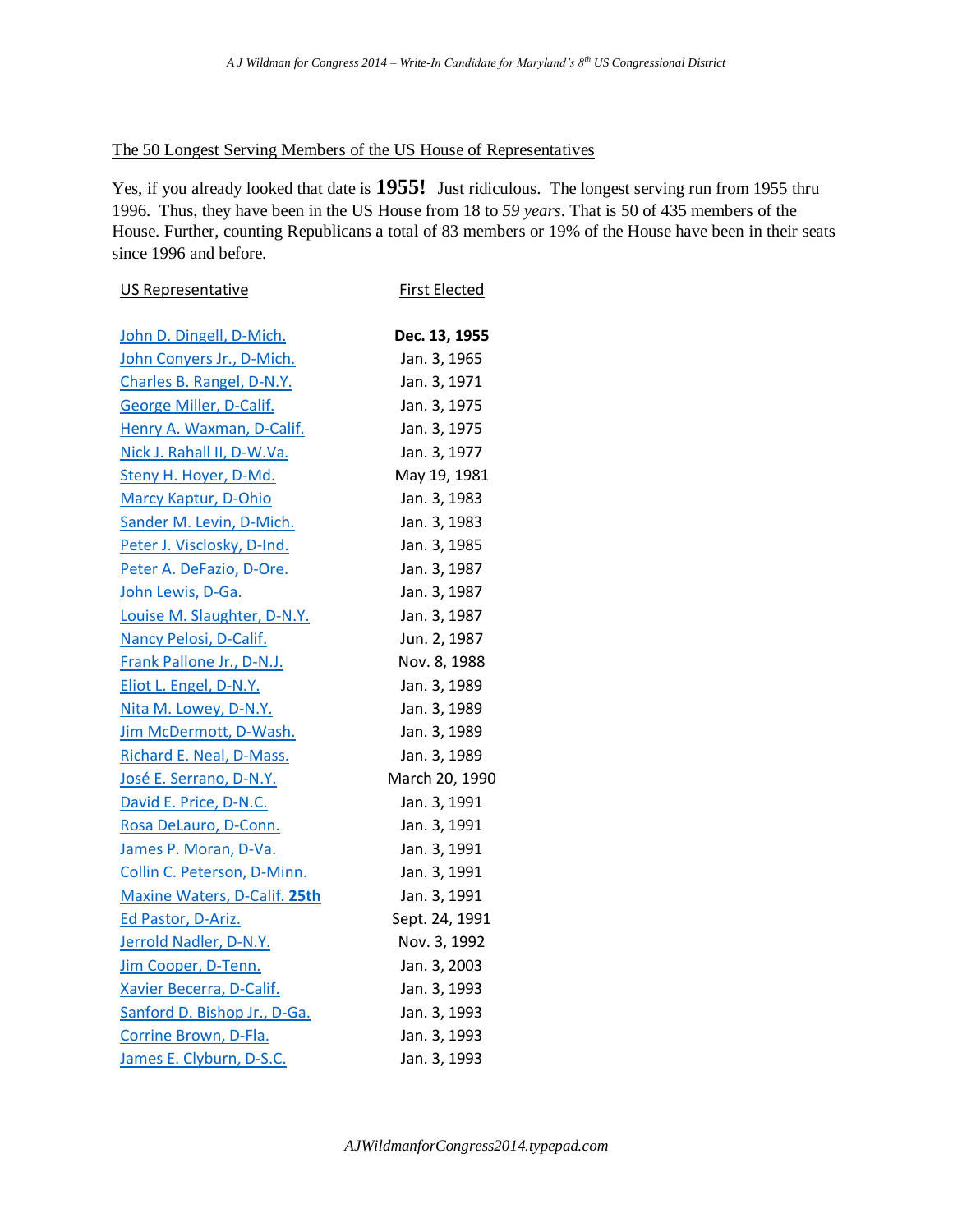### The 50 Longest Serving Members of the US House of Representatives

Yes, if you already looked that date is **1955!** Just ridiculous. The longest serving run from 1955 thru 1996. Thus, they have been in the US House from 18 to *59 years*. That is 50 of 435 members of the House. Further, counting Republicans a total of 83 members or 19% of the House have been in their seats since 1996 and before.

| US Representative            | <b>First Elected</b> |
|------------------------------|----------------------|
| John D. Dingell, D-Mich.     | Dec. 13, 1955        |
| John Conyers Jr., D-Mich.    | Jan. 3, 1965         |
| Charles B. Rangel, D-N.Y.    | Jan. 3, 1971         |
| George Miller, D-Calif.      | Jan. 3, 1975         |
| Henry A. Waxman, D-Calif.    | Jan. 3, 1975         |
| Nick J. Rahall II, D-W.Va.   | Jan. 3, 1977         |
| Steny H. Hoyer, D-Md.        | May 19, 1981         |
| <b>Marcy Kaptur, D-Ohio</b>  | Jan. 3, 1983         |
| Sander M. Levin, D-Mich.     | Jan. 3, 1983         |
| Peter J. Visclosky, D-Ind.   | Jan. 3, 1985         |
| Peter A. DeFazio, D-Ore.     | Jan. 3, 1987         |
| John Lewis, D-Ga.            | Jan. 3, 1987         |
| Louise M. Slaughter, D-N.Y.  | Jan. 3, 1987         |
| Nancy Pelosi, D-Calif.       | Jun. 2, 1987         |
| Frank Pallone Jr., D-N.J.    | Nov. 8, 1988         |
| Eliot L. Engel, D-N.Y.       | Jan. 3, 1989         |
| Nita M. Lowey, D-N.Y.        | Jan. 3, 1989         |
| Jim McDermott, D-Wash.       | Jan. 3, 1989         |
| Richard E. Neal, D-Mass.     | Jan. 3, 1989         |
| José E. Serrano, D-N.Y.      | March 20, 1990       |
| David E. Price, D-N.C.       | Jan. 3, 1991         |
| Rosa DeLauro, D-Conn.        | Jan. 3, 1991         |
| James P. Moran, D-Va.        | Jan. 3, 1991         |
| Collin C. Peterson, D-Minn.  | Jan. 3, 1991         |
| Maxine Waters, D-Calif. 25th | Jan. 3, 1991         |
| Ed Pastor, D-Ariz.           | Sept. 24, 1991       |
| Jerrold Nadler, D-N.Y.       | Nov. 3, 1992         |
| Jim Cooper, D-Tenn.          | Jan. 3, 2003         |
| Xavier Becerra, D-Calif.     | Jan. 3, 1993         |
| Sanford D. Bishop Jr., D-Ga. | Jan. 3, 1993         |
| Corrine Brown, D-Fla.        | Jan. 3, 1993         |
| James E. Clyburn, D-S.C.     | Jan. 3, 1993         |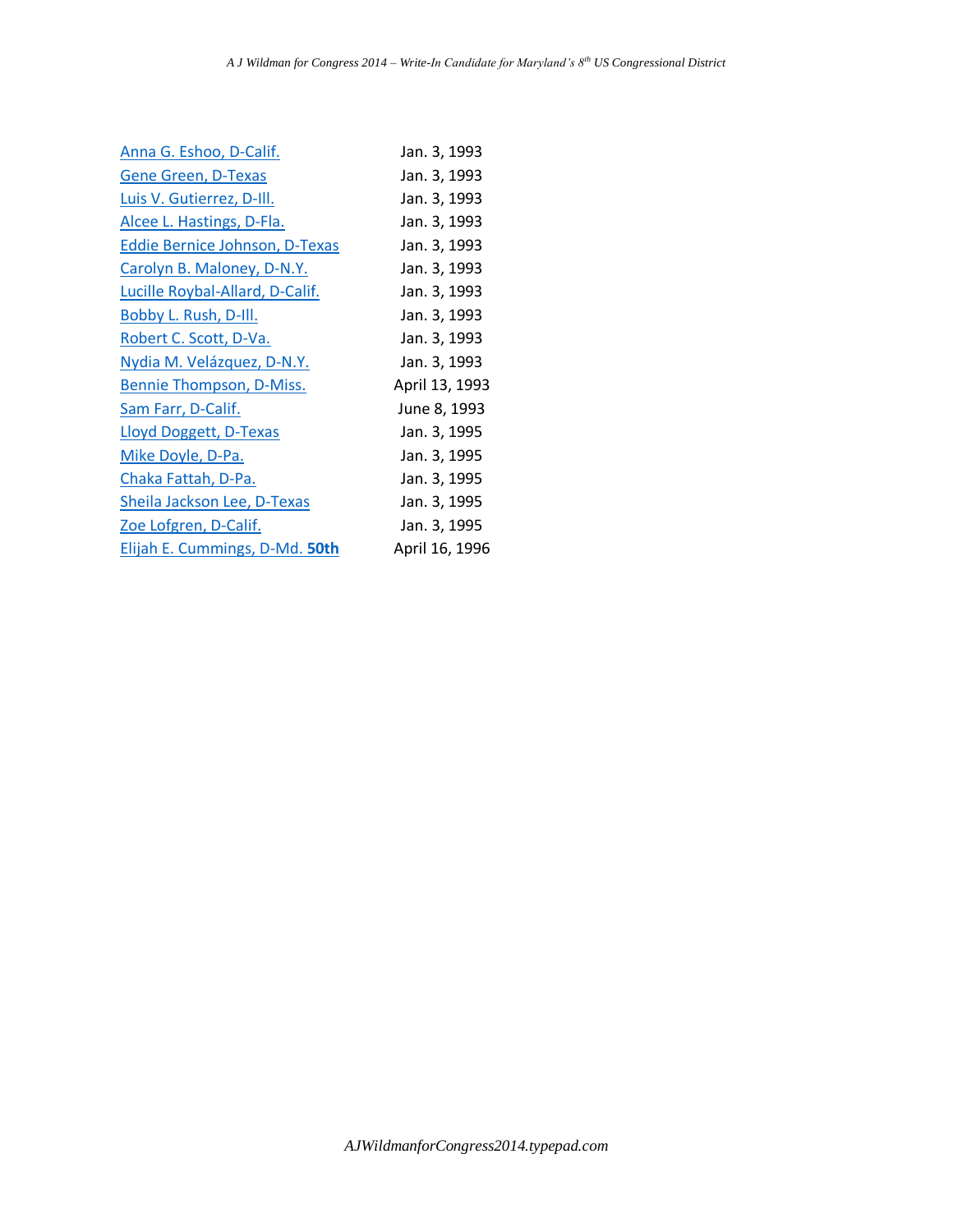| Anna G. Eshoo, D-Calif.               | Jan. 3, 1993   |
|---------------------------------------|----------------|
| <b>Gene Green, D-Texas</b>            | Jan. 3, 1993   |
| Luis V. Gutierrez, D-Ill.             | Jan. 3, 1993   |
| Alcee L. Hastings, D-Fla.             | Jan. 3, 1993   |
| <b>Eddie Bernice Johnson, D-Texas</b> | Jan. 3, 1993   |
| Carolyn B. Maloney, D-N.Y.            | Jan. 3, 1993   |
| Lucille Roybal-Allard, D-Calif.       | Jan. 3, 1993   |
| <b>Bobby L. Rush, D-Ill.</b>          | Jan. 3, 1993   |
| Robert C. Scott, D-Va.                | Jan. 3, 1993   |
| Nydia M. Velázquez, D-N.Y.            | Jan. 3, 1993   |
| Bennie Thompson, D-Miss.              | April 13, 1993 |
| Sam Farr, D-Calif.                    | June 8, 1993   |
| Lloyd Doggett, D-Texas                | Jan. 3, 1995   |
| Mike Doyle, D-Pa.                     | Jan. 3, 1995   |
| Chaka Fattah, D-Pa.                   | Jan. 3, 1995   |
| Sheila Jackson Lee, D-Texas           | Jan. 3, 1995   |
| <u>Zoe Lofgren, D-Calif.</u>          | Jan. 3, 1995   |
| Elijah E. Cummings, D-Md. 50th        | April 16, 1996 |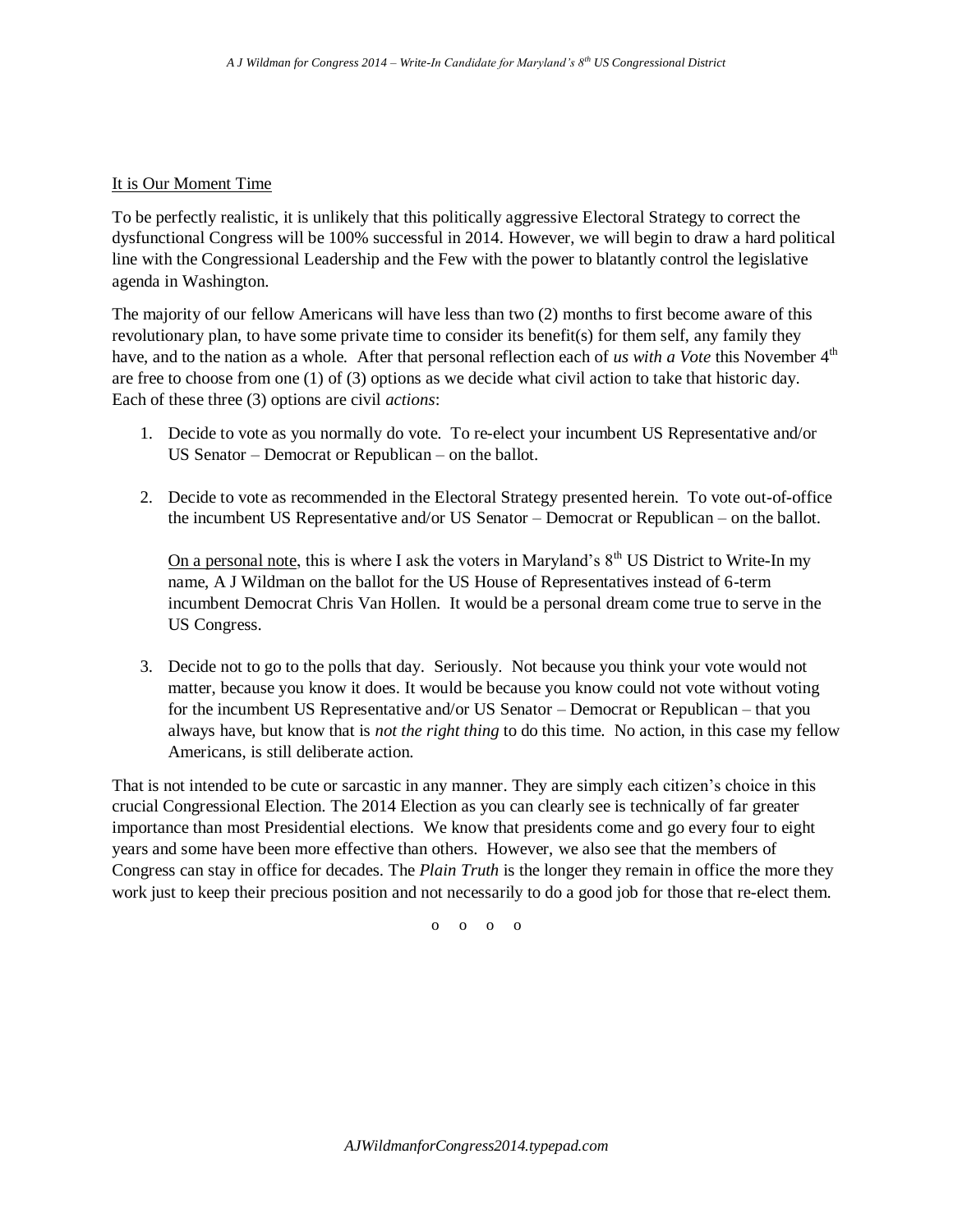### It is Our Moment Time

To be perfectly realistic, it is unlikely that this politically aggressive Electoral Strategy to correct the dysfunctional Congress will be 100% successful in 2014. However, we will begin to draw a hard political line with the Congressional Leadership and the Few with the power to blatantly control the legislative agenda in Washington.

The majority of our fellow Americans will have less than two (2) months to first become aware of this revolutionary plan, to have some private time to consider its benefit(s) for them self, any family they have, and to the nation as a whole. After that personal reflection each of *us with a Vote* this November 4<sup>th</sup> are free to choose from one (1) of (3) options as we decide what civil action to take that historic day. Each of these three (3) options are civil *actions*:

- 1. Decide to vote as you normally do vote. To re-elect your incumbent US Representative and/or US Senator – Democrat or Republican – on the ballot.
- 2. Decide to vote as recommended in the Electoral Strategy presented herein. To vote out-of-office the incumbent US Representative and/or US Senator – Democrat or Republican – on the ballot.

On a personal note, this is where I ask the voters in Maryland's  $8<sup>th</sup>$  US District to Write-In my name, A J Wildman on the ballot for the US House of Representatives instead of 6-term incumbent Democrat Chris Van Hollen. It would be a personal dream come true to serve in the US Congress.

3. Decide not to go to the polls that day. Seriously. Not because you think your vote would not matter, because you know it does. It would be because you know could not vote without voting for the incumbent US Representative and/or US Senator – Democrat or Republican – that you always have, but know that is *not the right thing* to do this time. No action, in this case my fellow Americans, is still deliberate action.

That is not intended to be cute or sarcastic in any manner. They are simply each citizen's choice in this crucial Congressional Election. The 2014 Election as you can clearly see is technically of far greater importance than most Presidential elections. We know that presidents come and go every four to eight years and some have been more effective than others. However, we also see that the members of Congress can stay in office for decades. The *Plain Truth* is the longer they remain in office the more they work just to keep their precious position and not necessarily to do a good job for those that re-elect them.

o o o o